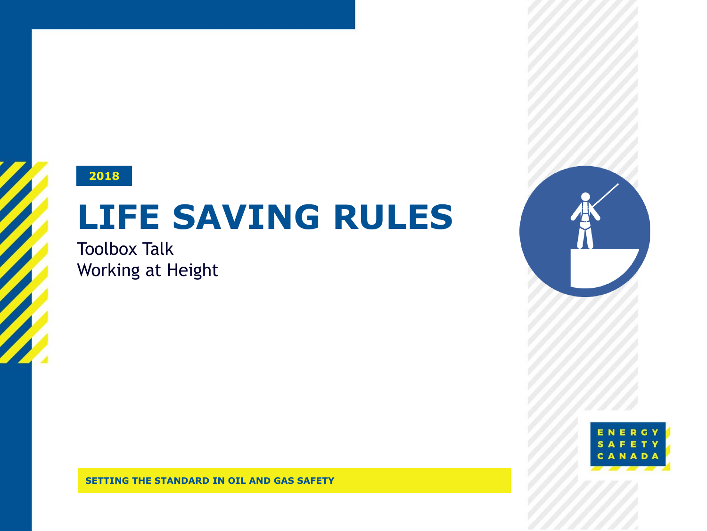#### **2018**

# **LIFE SAVING RULES**

Toolbox Talk Working at Height



**SETTING THE STANDARD IN OIL AND GAS SAFETY**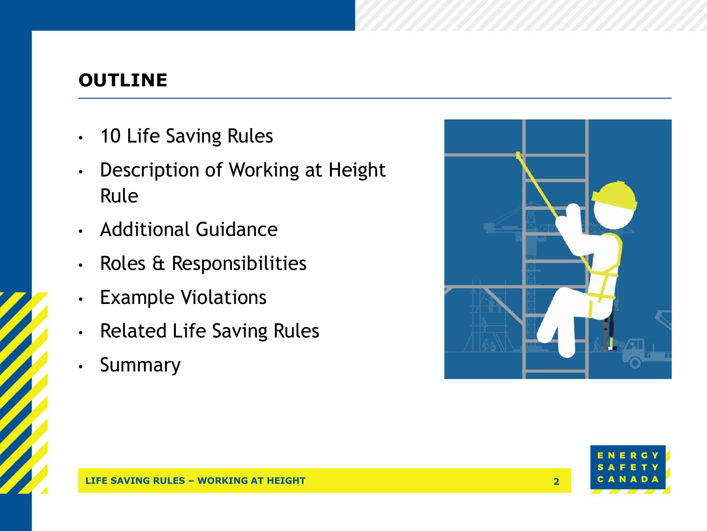#### **OUTLINE**

- 10 Life Saving Rules
- Description of Working at Height Rule
- Additional Guidance
- Roles & Responsibilities
- Example Violations
- Related Life Saving Rules
- Summary



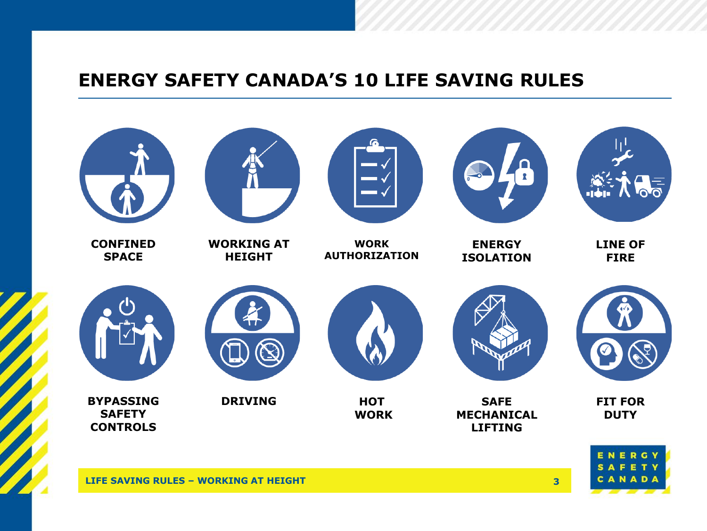#### **ENERGY SAFETY CANADA'S 10 LIFE SAVING RULES**

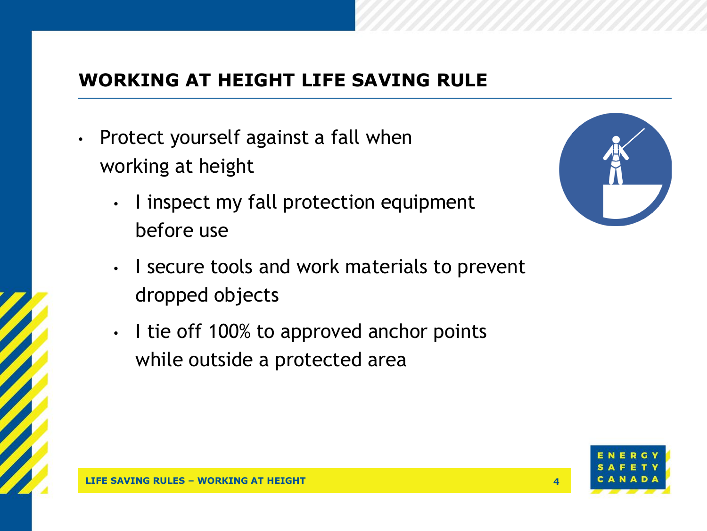### **WORKING AT HEIGHT LIFE SAVING RULE**

- Protect yourself against a fall when working at height
	- I inspect my fall protection equipment before use



- I secure tools and work materials to prevent dropped objects
- I tie off 100% to approved anchor points while outside a protected area

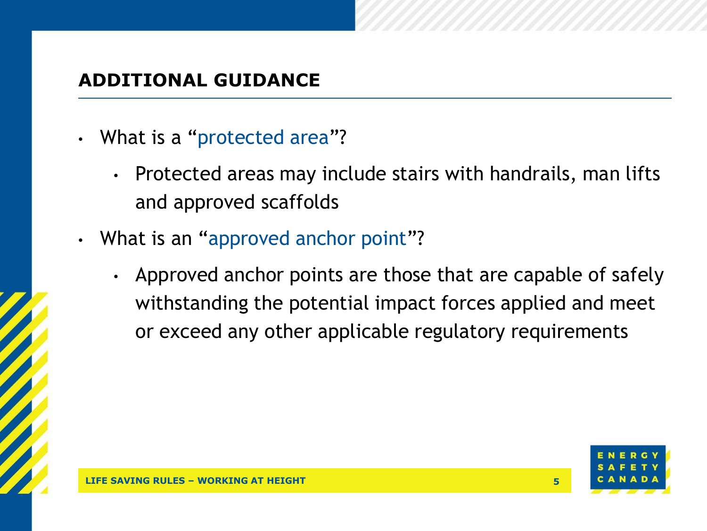#### **ADDITIONAL GUIDANCE**

- What is a "protected area"?
	- Protected areas may include stairs with handrails, man lifts and approved scaffolds
- What is an "approved anchor point"?
	- Approved anchor points are those that are capable of safely withstanding the potential impact forces applied and meet or exceed any other applicable regulatory requirements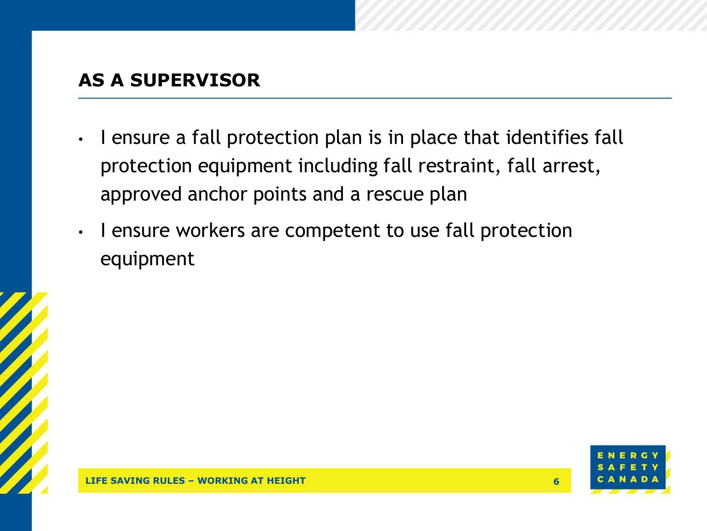#### **AS A SUPERVISOR**

- I ensure a fall protection plan is in place that identifies fall protection equipment including fall restraint, fall arrest, approved anchor points and a rescue plan
- I ensure workers are competent to use fall protection equipment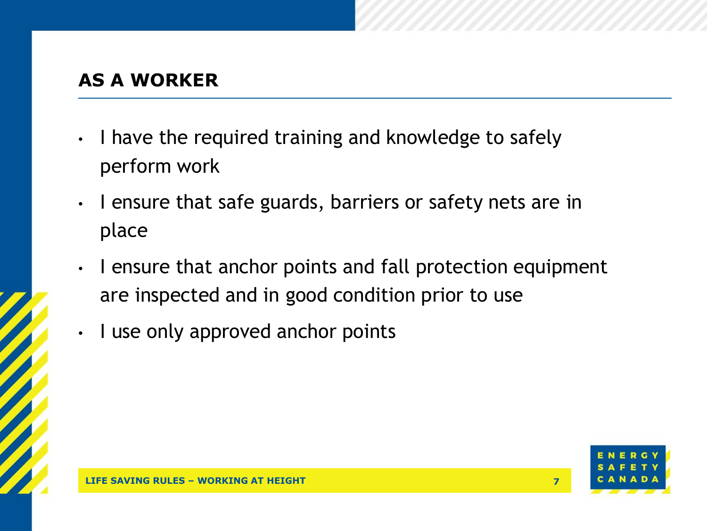### **AS A WORKER**

- I have the required training and knowledge to safely perform work
- I ensure that safe guards, barriers or safety nets are in place
- I ensure that anchor points and fall protection equipment are inspected and in good condition prior to use
- I use only approved anchor points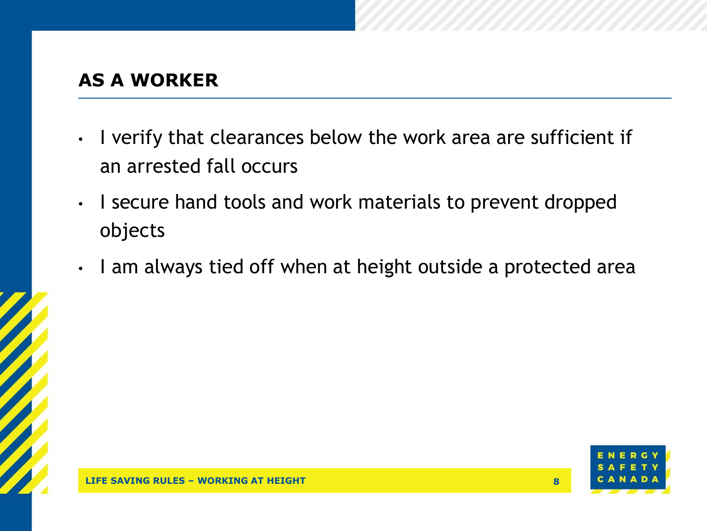### **AS A WORKER**

- I verify that clearances below the work area are sufficient if an arrested fall occurs
- I secure hand tools and work materials to prevent dropped objects
- I am always tied off when at height outside a protected area

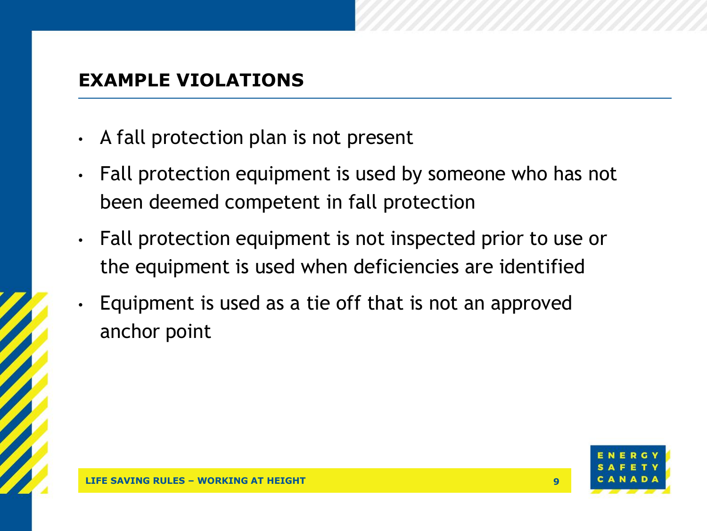#### **EXAMPLE VIOLATIONS**

- A fall protection plan is not present
- Fall protection equipment is used by someone who has not been deemed competent in fall protection
- Fall protection equipment is not inspected prior to use or the equipment is used when deficiencies are identified
- Equipment is used as a tie off that is not an approved anchor point

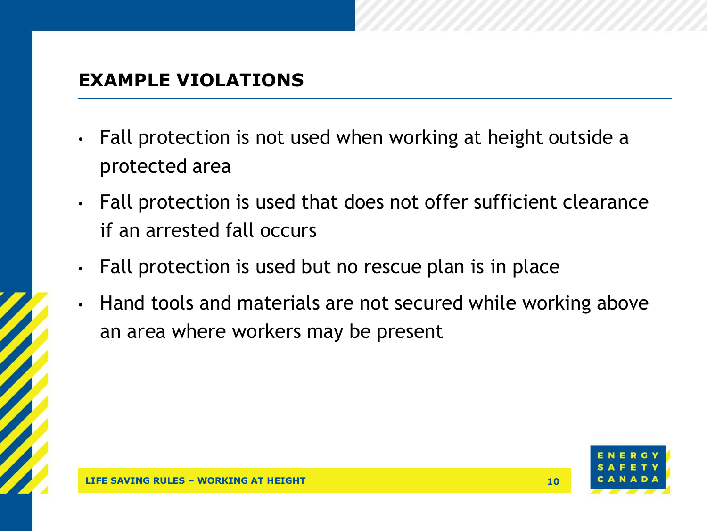#### **EXAMPLE VIOLATIONS**

- Fall protection is not used when working at height outside a protected area
- Fall protection is used that does not offer sufficient clearance if an arrested fall occurs
- Fall protection is used but no rescue plan is in place
- Hand tools and materials are not secured while working above an area where workers may be present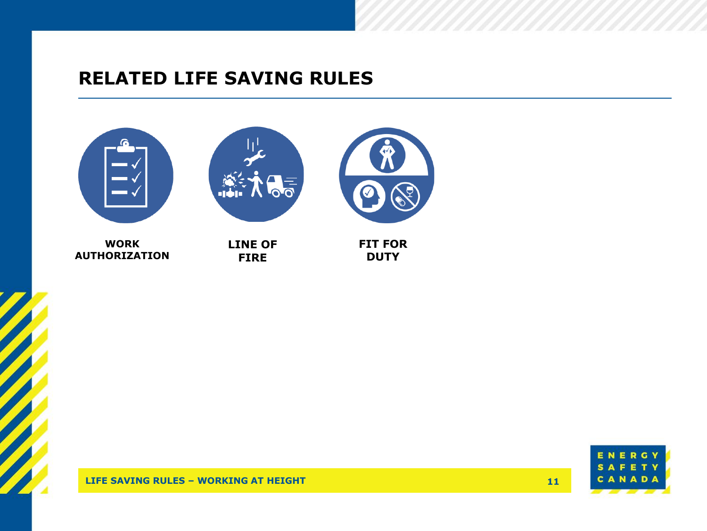#### **RELATED LIFE SAVING RULES**



**WORK AUTHORIZATION**

**LINE OF FIRE**





**LIFE SAVING RULES – WORKING AT HEIGHT**

**11**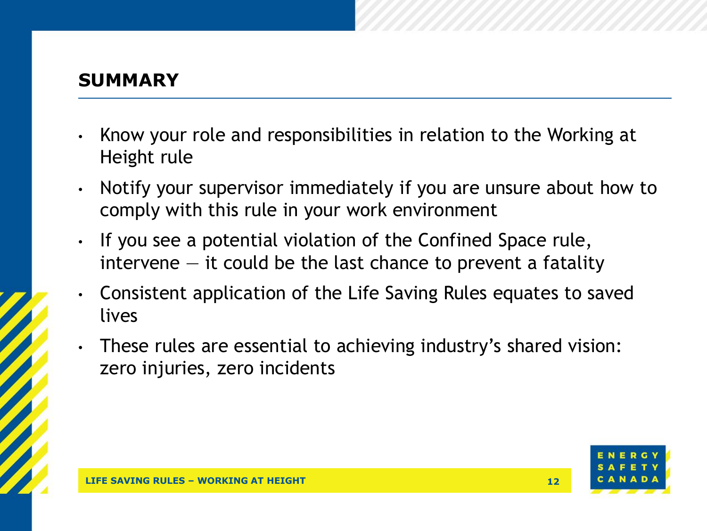#### **SUMMARY**

- Know your role and responsibilities in relation to the Working at Height rule
- Notify your supervisor immediately if you are unsure about how to comply with this rule in your work environment
- If you see a potential violation of the Confined Space rule, intervene  $-$  it could be the last chance to prevent a fatality
- Consistent application of the Life Saving Rules equates to saved lives
- These rules are essential to achieving industry's shared vision: zero injuries, zero incidents